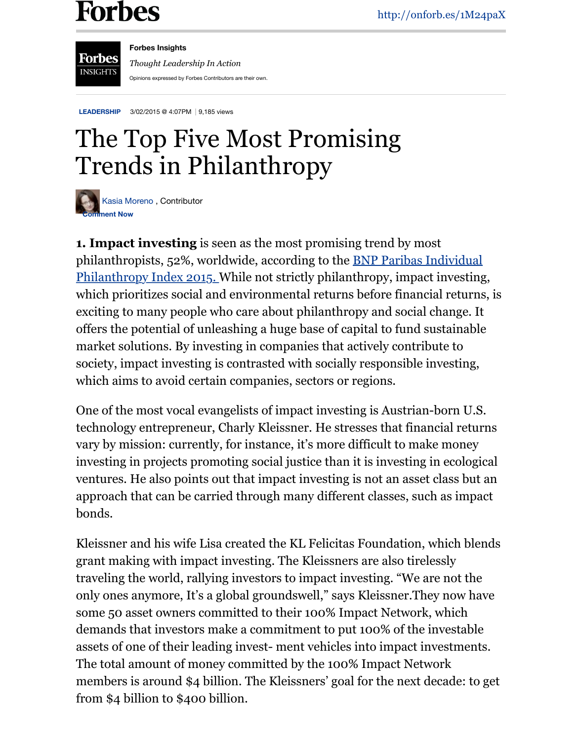[Philanthropy In](http://www.forbes.com/)dex 2015. While not strictly philanth which prioritizes social and environmental returns b exciting t[o many peo](http://www.forbes.com/sites/forbesinsights/)ple who care about philanthropy [offers th](http://www.forbes.com/sites/forbesinsights/)e potential of unleashing a huge base of capital market solutions. By investing in companies that act society, impact investing is contrasted with socially responsible in [which aim](http://www.forbes.com/leadership)s to avoid certain companies, sectors or re

One of the most vocal evangelists of impact investing technology entrepreneur, Charly Kleissner. He stress vary by mission: currently, for instance, it's more dif investing in projects promoting social justice than it [vent](http://www.forbes.com/sites/kasiamoreno/)[ures.](http://www.forbes.com/sites/forbesinsights/2015/03/02/the-top-five-most-promising-trends-in-philanthropy/print/#comment_reply) [He a](http://www.forbes.com/sites/kasiamoreno/)lso points out that impact investing is approach that can be carried through many different bonds.

Kleissner and his wife Lisa created the KL Felicitas F grant making with impact investing. The Kleissners and traveling the world, rallying investors to impact inve only ones anymore, It's a global groundswell," says K some 50 asset owners committed to their 100% Impa demands that investors make a commitment to put 1 assets of one of their leading invest- ment vehicles in The total amount of money committed by the 100% I members is around \$4 billion. The Kleissners' goal for from \$4 billion to \$400 billion.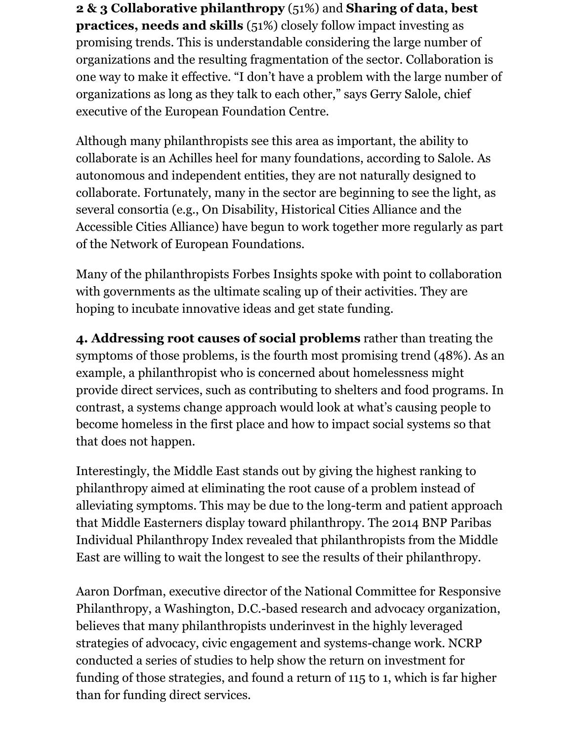**2 & 3 Collaborative philanthropy** (51%) and **Sharing of data, best practices, needs and skills** (51%) closely follow impact investing as promising trends. This is understandable considering the large number of organizations and the resulting fragmentation of the sector. Collaboration is one way to make it effective. "I don't have a problem with the large number of organizations as long as they talk to each other," says Gerry Salole, chief executive of the European Foundation Centre.

Although many philanthropists see this area as important, the ability to collaborate is an Achilles heel for many foundations, according to Salole. As autonomous and independent entities, they are not naturally designed to collaborate. Fortunately, many in the sector are beginning to see the light, as several consortia (e.g., On Disability, Historical Cities Alliance and the Accessible Cities Alliance) have begun to work together more regularly as part of the Network of European Foundations.

Many of the philanthropists Forbes Insights spoke with point to collaboration with governments as the ultimate scaling up of their activities. They are hoping to incubate innovative ideas and get state funding.

**4. Addressing root causes of social problems** rather than treating the symptoms of those problems, is the fourth most promising trend (48%). As an example, a philanthropist who is concerned about homelessness might provide direct services, such as contributing to shelters and food programs. In contrast, a systems change approach would look at what's causing people to become homeless in the first place and how to impact social systems so that that does not happen.

Interestingly, the Middle East stands out by giving the highest ranking to philanthropy aimed at eliminating the root cause of a problem instead of alleviating symptoms. This may be due to the long-term and patient approach that Middle Easterners display toward philanthropy. The 2014 BNP Paribas

Individual Philanthropy Index revealed that philanthropists from the Middle East are willing to wait the longest to see the results of their philanthropy.

Aaron Dorfman, executive director of the National Committee for Responsive Philanthropy, a Washington, D.C.-based research and advocacy organization, believes that many philanthropists underinvest in the highly leveraged strategies of advocacy, civic engagement and systems-change work. NCRP conducted a series of studies to help show the return on investment for funding of those strategies, and found a return of 115 to 1, which is far higher than for funding direct services.